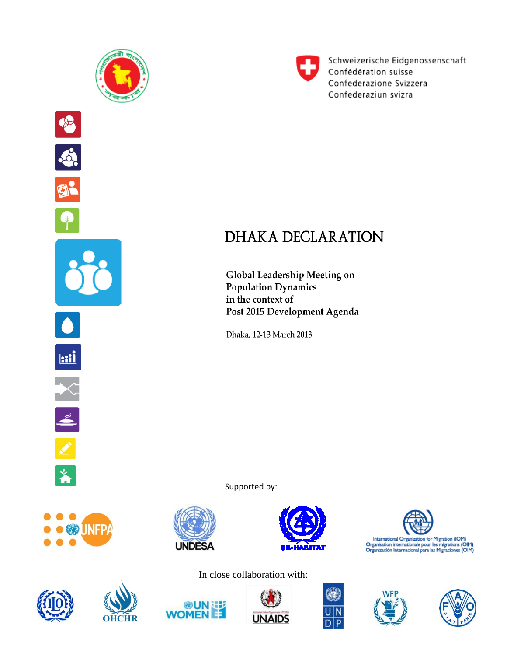

D

 $\beta$ 

 $\mathbf{a}$ 

<u>kii</u>

 $\overline{\mathbf{z}}$ 



Schweizerische Eidgenossenschaft Confédération suisse Confederazione Svizzera Confederaziun svizra

## **DHAKA DECLARATION**

Global Leadership Meeting on **Population Dynamics** in the context of Post 2015 Development Agenda

Dhaka, 12-13 March 2013

Supported by:





89UN









In close collaboration with:







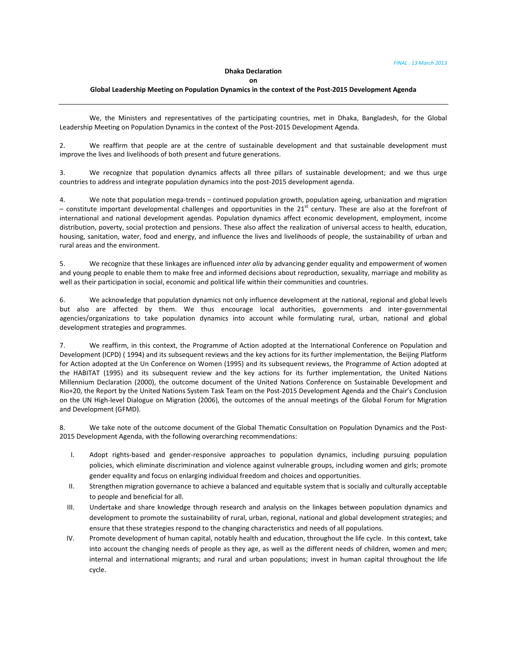## **Dhaka Declaration**

**on** 

## **Global Leadership Meeting on Population Dynamics in the context of the Post‐2015 Development Agenda**

We, the Ministers and representatives of the participating countries, met in Dhaka, Bangladesh, for the Global Leadership Meeting on Population Dynamics in the context of the Post-2015 Development Agenda.

2. We reaffirm that people are at the centre of sustainable development and that sustainable development must improve the lives and livelihoods of both present and future generations.

3. We recognize that population dynamics affects all three pillars of sustainable development; and we thus urge countries to address and integrate population dynamics into the post-2015 development agenda.

4. We note that population mega‐trends – continued population growth, population ageing, urbanization and migration – constitute important developmental challenges and opportunities in the  $21<sup>st</sup>$  century. These are also at the forefront of international and national development agendas. Population dynamics affect economic development, employment, income distribution, poverty, social protection and pensions. These also affect the realization of universal access to health, education, housing, sanitation, water, food and energy, and influence the lives and livelihoods of people, the sustainability of urban and rural areas and the environment.

5. We recognize that these linkages are influenced *inter alia* by advancing gender equality and empowerment of women and young people to enable them to make free and informed decisions about reproduction, sexuality, marriage and mobility as well as their participation in social, economic and political life within their communities and countries.

6. We acknowledge that population dynamics not only influence development at the national, regional and global levels but also are affected by them. We thus encourage local authorities, governments and inter‐governmental agencies/organizations to take population dynamics into account while formulating rural, urban, national and global development strategies and programmes.

7. We reaffirm, in this context, the Programme of Action adopted at the International Conference on Population and Development (ICPD) ( 1994) and its subsequent reviews and the key actions for its further implementation, the Beijing Platform for Action adopted at the Un Conference on Women (1995) and its subsequent reviews, the Programme of Action adopted at the HABITAT (1995) and its subsequent review and the key actions for its further implementation, the United Nations Millennium Declaration (2000), the outcome document of the United Nations Conference on Sustainable Development and Rio+20, the Report by the United Nations System Task Team on the Post‐2015 Development Agenda and the Chair's Conclusion on the UN High‐level Dialogue on Migration (2006), the outcomes of the annual meetings of the Global Forum for Migration and Development (GFMD).

8. We take note of the outcome document of the Global Thematic Consultation on Population Dynamics and the Post-2015 Development Agenda, with the following overarching recommendations:

- I. Adopt rights‐based and gender‐responsive approaches to population dynamics, including pursuing population policies, which eliminate discrimination and violence against vulnerable groups, including women and girls; promote gender equality and focus on enlarging individual freedom and choices and opportunities.
- II. Strengthen migration governance to achieve a balanced and equitable system that is socially and culturally acceptable to people and beneficial for all.
- III. Undertake and share knowledge through research and analysis on the linkages between population dynamics and development to promote the sustainability of rural, urban, regional, national and global development strategies; and ensure that these strategies respond to the changing characteristics and needs of all populations.
- IV. Promote development of human capital, notably health and education, throughout the life cycle. In this context, take into account the changing needs of people as they age, as well as the different needs of children, women and men; internal and international migrants; and rural and urban populations; invest in human capital throughout the life cycle.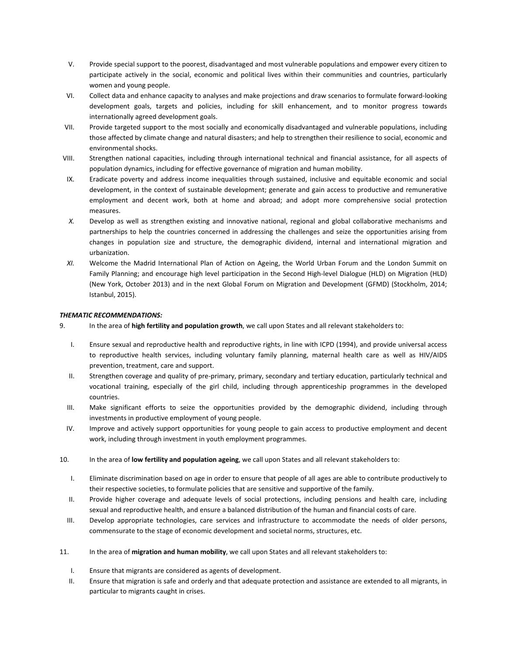- V. Provide special support to the poorest, disadvantaged and most vulnerable populations and empower every citizen to participate actively in the social, economic and political lives within their communities and countries, particularly women and young people.
- VI. Collect data and enhance capacity to analyses and make projections and draw scenarios to formulate forward‐looking development goals, targets and policies, including for skill enhancement, and to monitor progress towards internationally agreed development goals.
- VII. Provide targeted support to the most socially and economically disadvantaged and vulnerable populations, including those affected by climate change and natural disasters; and help to strengthen their resilience to social, economic and environmental shocks.
- VIII. Strengthen national capacities, including through international technical and financial assistance, for all aspects of population dynamics, including for effective governance of migration and human mobility.
- IX. Eradicate poverty and address income inequalities through sustained, inclusive and equitable economic and social development, in the context of sustainable development; generate and gain access to productive and remunerative employment and decent work, both at home and abroad; and adopt more comprehensive social protection measures.
- *X.* Develop as well as strengthen existing and innovative national, regional and global collaborative mechanisms and partnerships to help the countries concerned in addressing the challenges and seize the opportunities arising from changes in population size and structure, the demographic dividend, internal and international migration and urbanization.
- *XI.* Welcome the Madrid International Plan of Action on Ageing, the World Urban Forum and the London Summit on Family Planning; and encourage high level participation in the Second High‐level Dialogue (HLD) on Migration (HLD) (New York, October 2013) and in the next Global Forum on Migration and Development (GFMD) (Stockholm, 2014; Istanbul, 2015).

## *THEMATIC RECOMMENDATIONS:*

- 9. In the area of **high fertility and population growth**, we call upon States and all relevant stakeholders to:
	- I. Ensure sexual and reproductive health and reproductive rights, in line with ICPD (1994), and provide universal access to reproductive health services, including voluntary family planning, maternal health care as well as HIV/AIDS prevention, treatment, care and support.
	- II. Strengthen coverage and quality of pre‐primary, primary, secondary and tertiary education, particularly technical and vocational training, especially of the girl child, including through apprenticeship programmes in the developed countries.
	- III. Make significant efforts to seize the opportunities provided by the demographic dividend, including through investments in productive employment of young people.
	- IV. Improve and actively support opportunities for young people to gain access to productive employment and decent work, including through investment in youth employment programmes.
- 10. In the area of **low fertility and population ageing**, we call upon States and all relevant stakeholders to:
	- I. Eliminate discrimination based on age in order to ensure that people of all ages are able to contribute productively to their respective societies, to formulate policies that are sensitive and supportive of the family.
	- II. Provide higher coverage and adequate levels of social protections, including pensions and health care, including sexual and reproductive health, and ensure a balanced distribution of the human and financial costs of care.
	- III. Develop appropriate technologies, care services and infrastructure to accommodate the needs of older persons, commensurate to the stage of economic development and societal norms, structures, etc.
- 11. In the area of **migration and human mobility**, we call upon States and all relevant stakeholders to:
	- I. Ensure that migrants are considered as agents of development.
	- II. Ensure that migration is safe and orderly and that adequate protection and assistance are extended to all migrants, in particular to migrants caught in crises.